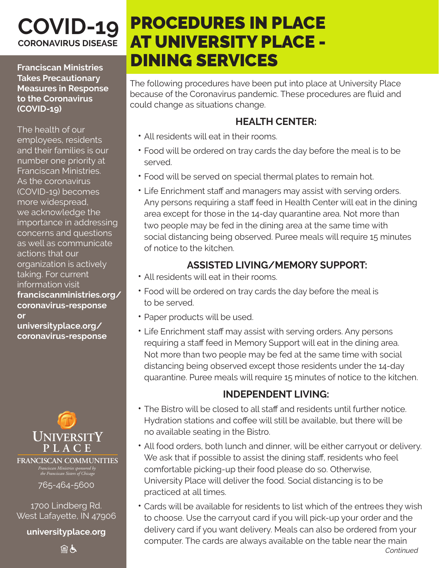## **COVID-19 CORONAVIRUS DISEASE**

**Franciscan Ministries Takes Precautionary Measures in Response to the Coronavirus (COVID-19)**

The health of our employees, residents and their families is our number one priority at Franciscan Ministries. As the coronavirus (COVID-19) becomes more widespread, we acknowledge the importance in addressing concerns and questions as well as communicate actions that our organization is actively taking. For current information visit **franciscanministries.org/ coronavirus-response or** 

**universityplace.org/ coronavirus-response**



*Franciscan Ministries sponsored by the Franciscan Sisters of Chicago*

765-464-5600

1700 Lindberg Rd. West Lafayette, IN 47906

**universityplace.org**

自占

# PROCEDURES IN PLACE AT UNIVERSITY PLACE - DINING SERVICES

The following procedures have been put into place at University Place because of the Coronavirus pandemic. These procedures are fluid and could change as situations change.

#### **HEALTH CENTER:**

- All residents will eat in their rooms.
- Food will be ordered on tray cards the day before the meal is to be served.
- Food will be served on special thermal plates to remain hot.
- Life Enrichment staff and managers may assist with serving orders. Any persons requiring a staff feed in Health Center will eat in the dining area except for those in the 14-day quarantine area. Not more than two people may be fed in the dining area at the same time with social distancing being observed. Puree meals will require 15 minutes of notice to the kitchen.

### **ASSISTED LIVING/MEMORY SUPPORT:**

- All residents will eat in their rooms.
- Food will be ordered on tray cards the day before the meal is to be served.
- Paper products will be used.
- Life Enrichment staff may assist with serving orders. Any persons requiring a staff feed in Memory Support will eat in the dining area. Not more than two people may be fed at the same time with social distancing being observed except those residents under the 14-day quarantine. Puree meals will require 15 minutes of notice to the kitchen.

#### **INDEPENDENT LIVING:**

- The Bistro will be closed to all staff and residents until further notice. Hydration stations and coffee will still be available, but there will be no available seating in the Bistro.
- All food orders, both lunch and dinner, will be either carryout or delivery. We ask that if possible to assist the dining staff, residents who feel comfortable picking-up their food please do so. Otherwise, University Place will deliver the food. Social distancing is to be practiced at all times.
- Cards will be available for residents to list which of the entrees they wish to choose. Use the carryout card if you will pick-up your order and the delivery card if you want delivery. Meals can also be ordered from your computer. The cards are always available on the table near the main *Continued*